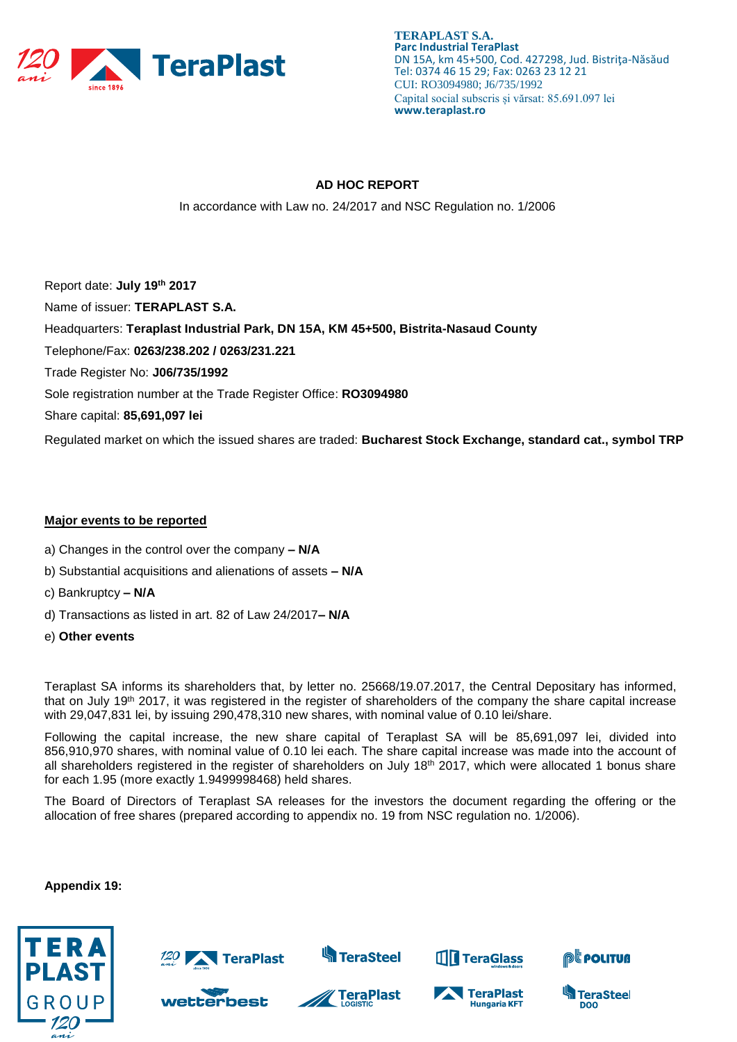

**TERAPLAST S.A. Parc Industrial TeraPlast** DN 15A, km 45+500, Cod. 427298, Jud. Bistriţa-Năsăud Tel: 0374 46 15 29; Fax: 0263 23 12 21 CUI: RO3094980; J6/735/1992 Capital social subscris și vărsat: 85.691.097 lei **www.teraplast.ro**

# **AD HOC REPORT**

In accordance with Law no. 24/2017 and NSC Regulation no. 1/2006

Report date: **July 19th 2017** Name of issuer: **TERAPLAST S.A.**  Headquarters: **Teraplast Industrial Park, DN 15A, KM 45+500, Bistrita-Nasaud County** Telephone/Fax: **0263/238.202 / 0263/231.221** Trade Register No: **J06/735/1992** Sole registration number at the Trade Register Office: **RO3094980** Share capital: **85,691,097 lei** Regulated market on which the issued shares are traded: **Bucharest Stock Exchange, standard cat., symbol TRP**

# **Major events to be reported**

- a) Changes in the control over the company **– N/A**
- b) Substantial acquisitions and alienations of assets **– N/A**
- c) Bankruptcy **– N/A**
- d) Transactions as listed in art. 82 of Law 24/2017**– N/A**
- e) **Other events**

Teraplast SA informs its shareholders that, by letter no. 25668/19.07.2017, the Central Depositary has informed, that on July 19<sup>th</sup> 2017, it was registered in the register of shareholders of the company the share capital increase with 29,047,831 lei, by issuing 290,478,310 new shares, with nominal value of 0.10 lei/share.

Following the capital increase, the new share capital of Teraplast SA will be 85,691,097 lei, divided into 856,910,970 shares, with nominal value of 0.10 lei each. The share capital increase was made into the account of all shareholders registered in the register of shareholders on July  $18<sup>th</sup>$  2017, which were allocated 1 bonus share for each 1.95 (more exactly 1.9499998468) held shares.

The Board of Directors of Teraplast SA releases for the investors the document regarding the offering or the allocation of free shares (prepared according to appendix no. 19 from NSC regulation no. 1/2006).

#### **Appendix 19:**

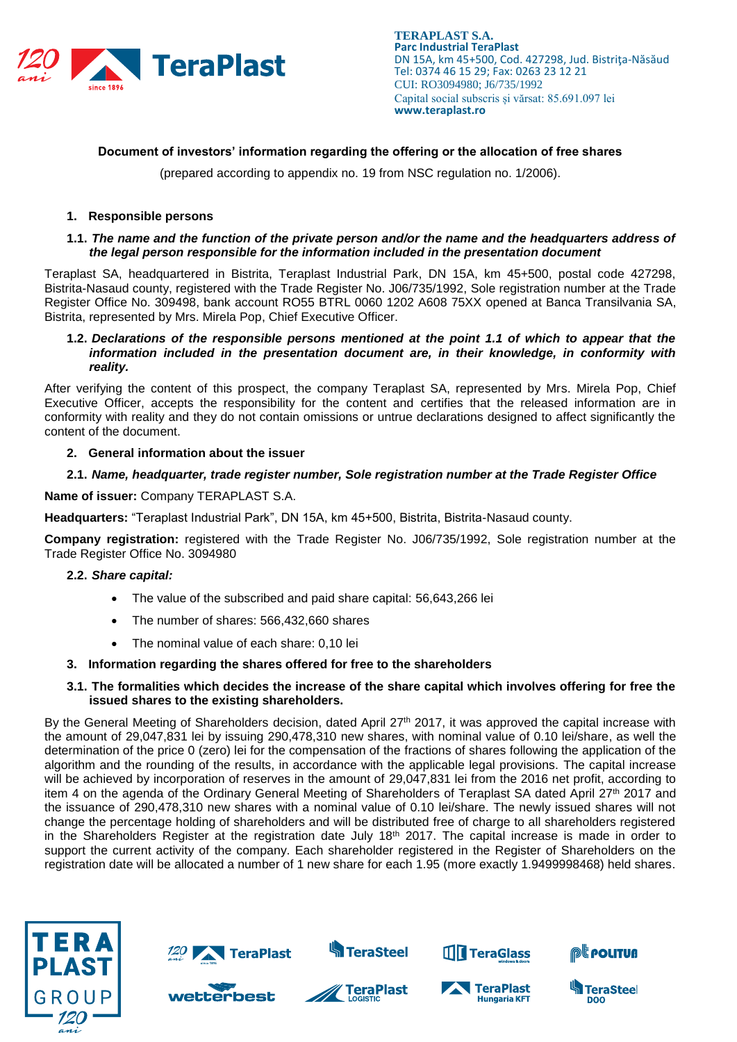

# **Document of investors' information regarding the offering or the allocation of free shares**

(prepared according to appendix no. 19 from NSC regulation no. 1/2006).

# **1. Responsible persons**

## **1.1.** *The name and the function of the private person and/or the name and the headquarters address of the legal person responsible for the information included in the presentation document*

Teraplast SA, headquartered in Bistrita, Teraplast Industrial Park, DN 15A, km 45+500, postal code 427298, Bistrita-Nasaud county, registered with the Trade Register No. J06/735/1992, Sole registration number at the Trade Register Office No. 309498, bank account RO55 BTRL 0060 1202 A608 75XX opened at Banca Transilvania SA, Bistrita, represented by Mrs. Mirela Pop, Chief Executive Officer.

### **1.2.** *Declarations of the responsible persons mentioned at the point 1.1 of which to appear that the information included in the presentation document are, in their knowledge, in conformity with reality.*

After verifying the content of this prospect, the company Teraplast SA, represented by Mrs. Mirela Pop, Chief Executive Officer, accepts the responsibility for the content and certifies that the released information are in conformity with reality and they do not contain omissions or untrue declarations designed to affect significantly the content of the document.

#### **2. General information about the issuer**

## **2.1.** *Name, headquarter, trade register number, Sole registration number at the Trade Register Office*

**Name of issuer:** Company TERAPLAST S.A.

**Headquarters:** "Teraplast Industrial Park", DN 15A, km 45+500, Bistrita, Bistrita-Nasaud county.

**Company registration:** registered with the Trade Register No. J06/735/1992, Sole registration number at the Trade Register Office No. 3094980

#### **2.2.** *Share capital:*

- The value of the subscribed and paid share capital: 56,643,266 lei
- The number of shares: 566,432,660 shares
- The nominal value of each share: 0,10 lei

#### **3. Information regarding the shares offered for free to the shareholders**

#### **3.1. The formalities which decides the increase of the share capital which involves offering for free the issued shares to the existing shareholders.**

By the General Meeting of Shareholders decision, dated April 27<sup>th</sup> 2017, it was approved the capital increase with the amount of 29,047,831 lei by issuing 290,478,310 new shares, with nominal value of 0.10 lei/share, as well the determination of the price 0 (zero) lei for the compensation of the fractions of shares following the application of the algorithm and the rounding of the results, in accordance with the applicable legal provisions. The capital increase will be achieved by incorporation of reserves in the amount of 29,047,831 lei from the 2016 net profit, according to item 4 on the agenda of the Ordinary General Meeting of Shareholders of Teraplast SA dated April 27th 2017 and the issuance of 290,478,310 new shares with a nominal value of 0.10 lei/share. The newly issued shares will not change the percentage holding of shareholders and will be distributed free of charge to all shareholders registered in the Shareholders Register at the registration date July  $18<sup>th</sup>$  2017. The capital increase is made in order to support the current activity of the company. Each shareholder registered in the Register of Shareholders on the registration date will be allocated a number of 1 new share for each 1.95 (more exactly 1.9499998468) held shares.